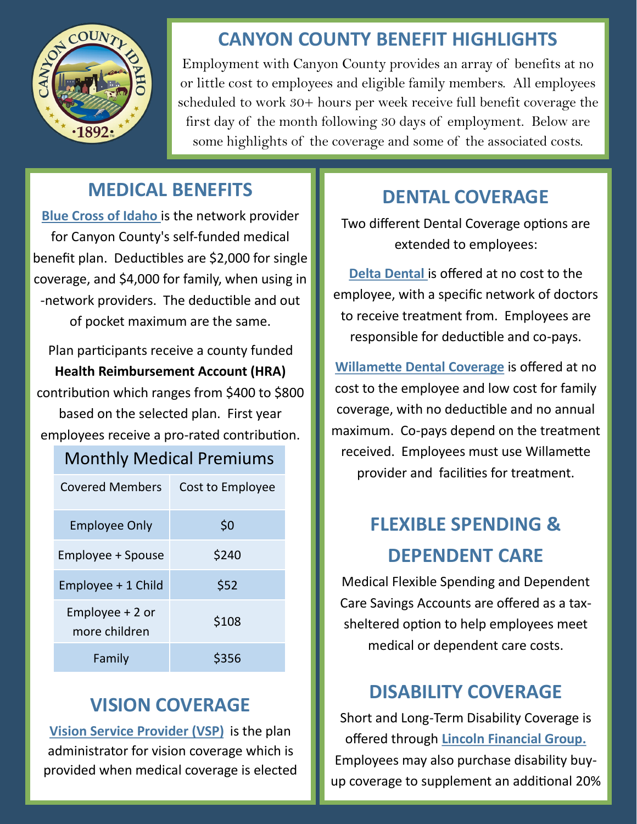

### **CANYON COUNTY BENEFIT HIGHLIGHTS**

Employment with Canyon County provides an array of benefits at no or little cost to employees and eligible family members. All employees scheduled to work 30+ hours per week receive full benefit coverage the first day of the month following 30 days of employment. Below are some highlights of the coverage and some of the associated costs.

### **MEDICAL BENEFITS**

**Blue Cross of Idaho** is the network provider for Canyon County's self-funded medical benefit plan. Deductibles are \$2,000 for single coverage, and \$4,000 for family, when using in -network providers. The deductible and out of pocket maximum are the same.

Plan participants receive a county funded **Health Reimbursement Account (HRA)** contribution which ranges from \$400 to \$800 based on the selected plan. First year employees receive a pro-rated contribution.

#### Monthly Medical Premiums

| Covered Members                   | Cost to Employee |
|-----------------------------------|------------------|
| <b>Employee Only</b>              | \$0              |
| Employee + Spouse                 | \$240            |
| Employee + 1 Child                | \$52             |
| Employee $+2$ or<br>more children | \$108            |
| Family                            | \$356            |

### **VISION COVERAGE**

**Vision Service Provider (VSP)** is the plan administrator for vision coverage which is provided when medical coverage is elected

### **DENTAL COVERAGE**

Two different Dental Coverage options are extended to employees:

**Delta Dental** is offered at no cost to the employee, with a specific network of doctors to receive treatment from. Employees are responsible for deductible and co-pays.

**Willamette Dental Coverage** is offered at no cost to the employee and low cost for family coverage, with no deductible and no annual maximum. Co-pays depend on the treatment received. Employees must use Willamette provider and facilities for treatment.

# **FLEXIBLE SPENDING & DEPENDENT CARE**

Medical Flexible Spending and Dependent Care Savings Accounts are offered as a taxsheltered option to help employees meet medical or dependent care costs.

### **DISABILITY COVERAGE**

Short and Long-Term Disability Coverage is offered through **Lincoln Financial Group.**  Employees may also purchase disability buyup coverage to supplement an additional 20%